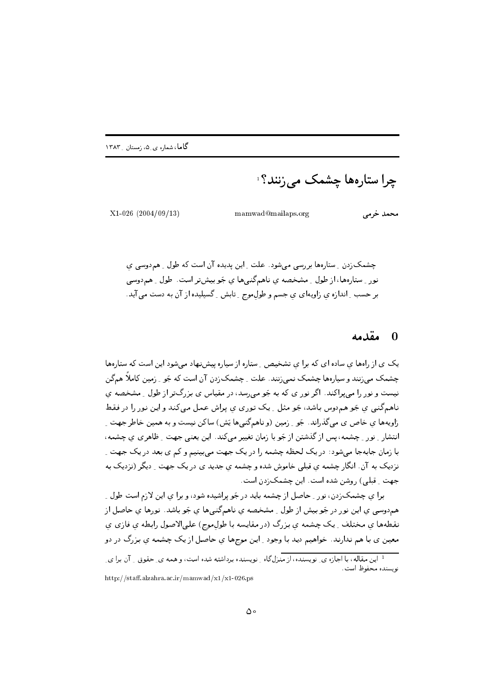چرا ستارهها چشمک می زنند؟ َ

 $X1-026$  (2004/09/13)

mamwad@mailaps.org

محمد خرمی

چشمکزدن ِ ستارهها بررسی می شود. علت ِ این پدیده آن است که طول ِ هم دوسی ی نور \_ ستارهها، از طول \_ مشخصه ی ناهمگنبیها ی جَو بیشتر است. طول \_ هم دوسی بر حسب ِ اندازه ي زاويهاي ي جسم و طول.موج ِ تابش ِ گسيليده از آن به دست مي آيد.

## مقدمه  $\blacksquare$

یک ی از رامها ی ساده ای که برا ی تشخیص ۵ ستاره از سیاره پیش نهاد می شود این است که ستارهها چشمک می;نند و سپارهها چشمک نمی;نند. علت -ِ چشمک;دن آن است که جَو -ِ زمین کاملاً همگن نیست و نور را می پراکند. اگر نور ی که به جَو می رسد، در مقیاس ی بزرگتر از طول ِ مشخصه ی ناهم گنبي ي جَو هم دوس باشد، جَو مثل 1 يک توري ي پراش عمل مي کند و اين نور را در فقط زاویهها ی خاص ی میگذراند. جَو ِ زمین (و ناهمگنیها یَش) ساکن نیست و به همین خاطر جهت ِ انتشار ِ نور ِ چشمه، پس از گذشتن از جَو با زمان تغییر میکند. این یعنی جهت ِ ظاهری ی چشمه، با زمان جابهجا می شود: در یک لحظه چشمه را در یک جهت می بینیم و کم ی بعد در یک جهت ِ نزدیک به آن. انگار چشمه ی قبلی خاموش شده و چشمه ی جدید ی در یک جهت ِ دیگر (نزدیک به جهت \_ قبلی) , وشن شده است . این چشمک;دن است .

برا ی چشمکزدن، نور <sub>-</sub> حاصل از چشمه باید در جَو پراشیده شود، و برا ی این لازم است طول <sub>-</sub> هم‹دوسي ي اين نور در جَو بيش از طول \_ مشخصه ي ناهمگنيها ي جَو باشد. نورها ي حاصل از نقطهها ي مختلف ِ يک چشمه ي بزرگ (در مقايسه با طولموج) علىالاصول رابطه ي فازي ي معین ی با هم ندارند. خواهیم دید با وجود ِ این موجها ی حاصل از یک چشمه ی بزرگ در دو

http://staff.alzahra.ac.ir/mamwad/x1/x1-026.ps

ا<br>این مقاله، با اجازه ی ِ نویسنده، از منزلگاه ِ نویسنده برداشته شده است، و همه ی ِ حقوق ِ ِ آن برا ی ِ نويسنده محفوظ است.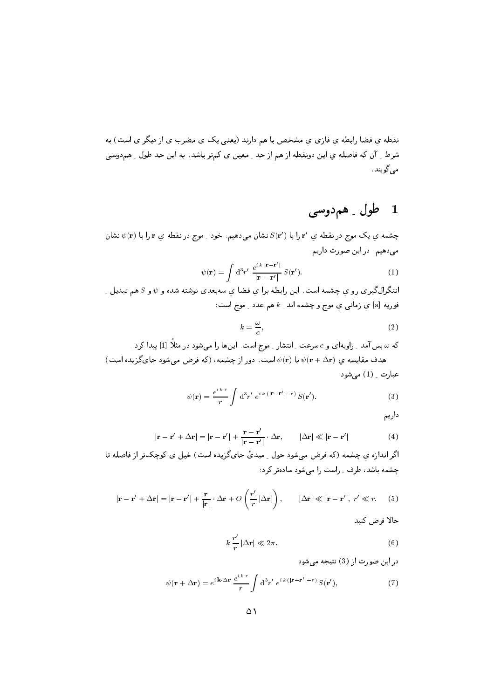نقطه ی فضا رابطه ی فازی ی مشخص با هم دارند (یعنی یک ی مضرب ی از دیگر ی است) به شرط \_ آن كه فاصله ي اين دونقطه از هم از حد \_ معين ي كمتر باشد. به اين حد طول \_ همدوسي مے گویند .

## طول ۔ همدوسی  $\blacksquare$

چشمه ي يک موج در نقطه ي ′r را با  $S(\mathbf{r}')$  نشان مىدهيم. خود \_ موج در نقطه ي r را با  $\psi(\mathbf{r})$  نشان میدهیم. در این صورت داریم

$$
\psi(\mathbf{r}) = \int d^3 r' \, \frac{e^{i k |\mathbf{r} - \mathbf{r}'|}}{|\mathbf{r} - \mathbf{r}'|} \, S(\mathbf{r}'). \tag{1}
$$

انتگرالگیری رو ی چشمه است. این رابطه برا یِ فضا یِ سهبعدی نوشته شده و  $\psi$  و 5 هم تبدیل ِ فوریه [a] ی زمانبی ی موج و چشمه اند.  $k$  هم عدد <sub>-</sub> موج است:

$$
k = \frac{\omega}{c},\tag{2}
$$

که  $\omega$ بس آمد ـ زاویهای و c سرعت ـ انتشار ـ موج است. اینها را می شود در مثلاً [1] پیدا کرد . هدف مقایسه ی  $\psi(\mathbf{r}+\Delta \mathbf{r})$  با  $\psi(\mathbf{r})$  است. دور از چشمه، (که فرض میشود جایگزیده است) عبارت \_ (1) مے شود

$$
\psi(\mathbf{r}) = \frac{e^{i\,kr}}{r} \int d^3r' \; e^{i\,k\left(|\mathbf{r} - \mathbf{r}'| - r\right)} S(\mathbf{r}'). \tag{3}
$$

داريم

$$
\mathbf{r} - \mathbf{r}' + \Delta \mathbf{r} | = |\mathbf{r} - \mathbf{r}'| + \frac{\mathbf{r} - \mathbf{r}'}{|\mathbf{r} - \mathbf{r}'|} \cdot \Delta \mathbf{r}, \qquad |\Delta \mathbf{r}| \ll |\mathbf{r} - \mathbf{r}'| \tag{4}
$$

اگر اندازه ي چشمه (كه فرض مي شود حول ِ مبديٍّ جاي گزيده است) خيل ي كوچكتر از فاصله تا چشمه باشد، طرف ِ راست را می شود سادهتر کرد:

$$
|\mathbf{r} - \mathbf{r}' + \Delta \mathbf{r}| = |\mathbf{r} - \mathbf{r}'| + \frac{\mathbf{r}}{|\mathbf{r}|} \cdot \Delta \mathbf{r} + O\left(\frac{r'}{r} |\Delta \mathbf{r}|\right), \qquad |\Delta \mathbf{r}| \ll |\mathbf{r} - \mathbf{r}'|, r' \ll r. \tag{5}
$$

حالا فرض كنيد

$$
k\,\frac{r'}{r}\left|\Delta\mathbf{r}\right|\ll2\,\pi.\tag{6}
$$

در این صورت از (3) نتیجه می شود

$$
\psi(\mathbf{r} + \Delta \mathbf{r}) = e^{i \mathbf{k} \cdot \Delta \mathbf{r}} \frac{e^{i k r}}{r} \int d^3 r' e^{i k (|\mathbf{r} - \mathbf{r}'| - r)} S(\mathbf{r}'), \tag{7}
$$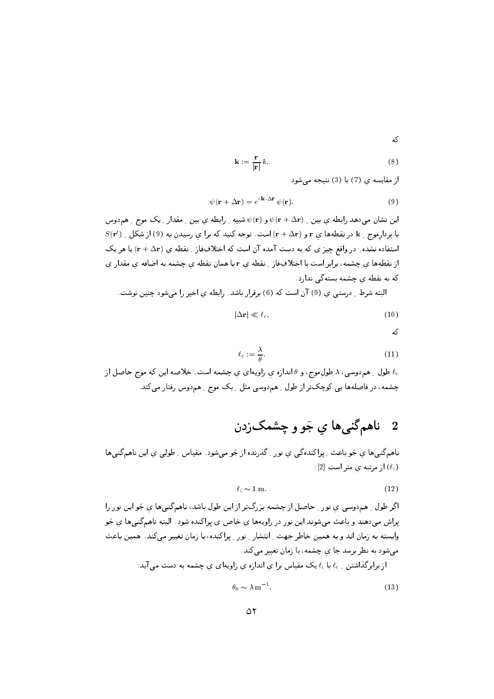که

$$
\mathbf{k} := \frac{\mathbf{r}}{|\mathbf{r}|} k. \tag{8}
$$

از مقایسه ی (7) با (3) نتیجه می شود

$$
\psi(\mathbf{r} + \Delta \mathbf{r}) = e^{i \mathbf{k} \cdot \Delta \mathbf{r}} \psi(\mathbf{r}). \tag{9}
$$

این نشان می دهد رابطه ی بین ِ  $\psi(\mathbf{r}+\Delta \mathbf{r})$  و  $\psi(\mathbf{r})$  شبیه ِ رابطه ی بین ِ مقدار ِ یک موج ِ هم دوس  $S(\mathbf{r}')$  با بردارموج \_ k در نقطهها ی r و  $(\mathbf{r}+\Delta \mathbf{r})$ است. توجه کنید که برا ی رسیدن به (9) از شکل استفاده نشده. در واقع چیز ی که به دست آمده آن است که اختلافِفاز ِ نقطه ی (r + ∆r) با هر یک از نقطهها ی چشمه، برابر است با اختلافِغاز ِ نقطه ی r با همان نقطه ی چشمه به اضافه ی مقدار ی که به نقطه ی چشمه بستهگی ندارد.

البته شرط ِ درستی ی (9) آن است که (6) برقرار باشد. رابطه یِ اخیر را میشود چنین نوشت.

$$
|\Delta \mathbf{r}| \ll \ell_{\rm c},\tag{10}
$$

$$
\mathbf{A}^{\mathbf{C}}
$$

$$
\ell_{\rm c} := \frac{\lambda}{\theta}.\tag{11}
$$

طول ِ هم‹وسی، ۸ طولِموج، و  $\theta$  اندازه ی زاویهای ی چشمه است. خلاصه این که موج حاصل از  $\ell_{\rm c}$ چشمه، در فاصلهها یی کوچکتر از طول <sub>-</sub> همدوسی مثل <sub>-</sub> یک موج <sub>-</sub> همدوس رفتار میکند.

## ناهمگنيها ي جَو و چشمکزدن  $\overline{\bf 2}$

ناهمگنیها ی جَو باعث ِ پراکندهگی ی نور ِ گذرنده از جَو میشود. مقیاس ِ طولی ی این ناهمگنیها  $:[2]$  از مرتبه ی متر است  $(\ell_i)$ 

$$
\ell_i \sim 1 \text{ m.} \tag{12}
$$

اگر طول ِ هم‹وسی ی نور ِ حاصل از چشمه بزرگتر از این طول باشد، ناهمگنیها ی جَواین نور را یراش میدهند و باعث میشوند این نور در زاویهها ی خاص ی پراکنده شود . البته ناهمگنیها ی جَو وابسته به زمان اند و به همین خاطر جهت <sub>-</sub> انتشار <sub>-</sub> نور <sub>-</sub> پراکنده، با زمان تغییر میکند. همین باعث می شود به نظر برسد جا ی چشمه ، با زمان تغییر می کند.

از برابرگذاشتن \_ ،l با ،l یک مقیاس برا ی اندازه ی زاویهای ی چشمه به دست می آید:

$$
\theta_0 \sim \lambda \,\mathrm{m}^{-1}.\tag{13}
$$